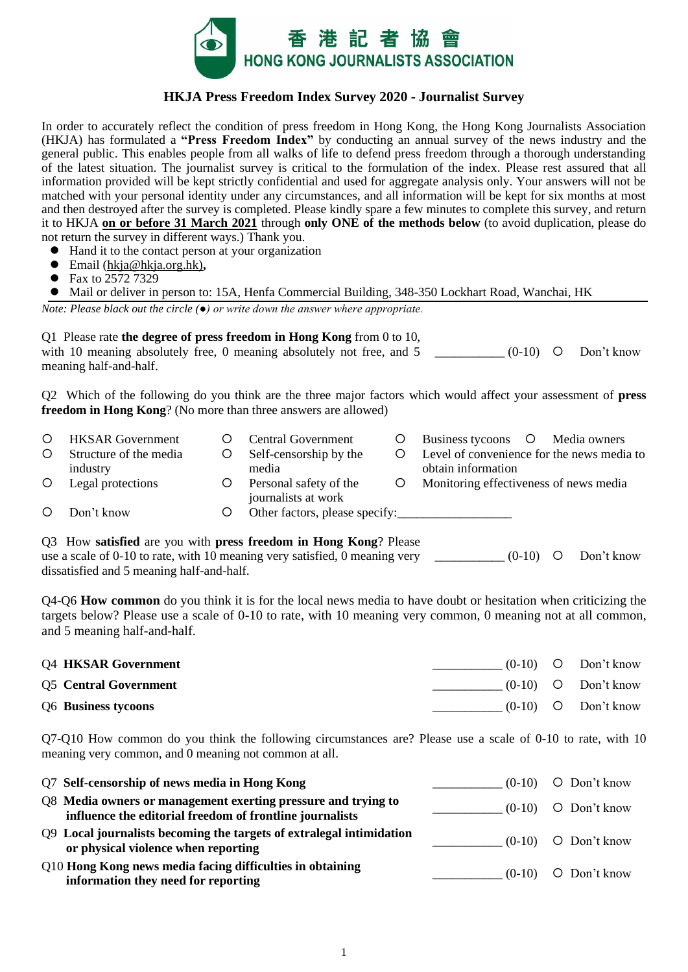

## **HKJA Press Freedom Index Survey 2020 - Journalist Survey**

In order to accurately reflect the condition of press freedom in Hong Kong, the Hong Kong Journalists Association (HKJA) has formulated a **"Press Freedom Index"** by conducting an annual survey of the news industry and the general public. This enables people from all walks of life to defend press freedom through a thorough understanding of the latest situation. The journalist survey is critical to the formulation of the index. Please rest assured that all information provided will be kept strictly confidential and used for aggregate analysis only. Your answers will not be matched with your personal identity under any circumstances, and all information will be kept for six months at most and then destroyed after the survey is completed. Please kindly spare a few minutes to complete this survey, and return it to HKJA **on or before 31 March 2021** through **only ONE of the methods below** (to avoid duplication, please do not return the survey in different ways.) Thank you.

- ⚫ Hand it to the contact person at your organization
- ⚫ Email [\(hkja@hkja.org.hk\)](mailto:hkja@hkja.org.hk)**,**
- Fax to 2572 7329

⚫ Mail or deliver in person to: 15A, Henfa Commercial Building, 348-350 Lockhart Road, Wanchai, HK

*Note: Please black out the circle (●) or write down the answer where appropriate.*

Q1 Please rate **the degree of press freedom in Hong Kong** from 0 to 10,

with 10 meaning absolutely free, 0 meaning absolutely not free, and 5 meaning half-and-half.  $(0-10)$  O Don't know

Q2 Which of the following do you think are the three major factors which would affect your assessment of **press freedom in Hong Kong**? (No more than three answers are allowed)

| $\circ$ | <b>HKSAR</b> Government | <b>Central Government</b>                     |         | Business tycoons O Media owners            |
|---------|-------------------------|-----------------------------------------------|---------|--------------------------------------------|
| $\circ$ | Structure of the media  | Self-censorship by the                        |         | Level of convenience for the news media to |
|         | industry                | media                                         |         | obtain information                         |
| $\circ$ | Legal protections       | Personal safety of the<br>journalists at work | $\circ$ | Monitoring effectiveness of news media     |
| $\circ$ | Don't know              | Other factors, please specify:                |         |                                            |

Q3 How **satisfied** are you with **press freedom in Hong Kong**? Please use a scale of 0-10 to rate, with 10 meaning very satisfied, 0 meaning very dissatisfied and 5 meaning half-and-half.  $(0-10)$  O Don't know

Q4-Q6 **How common** do you think it is for the local news media to have doubt or hesitation when criticizing the targets below? Please use a scale of 0-10 to rate, with 10 meaning very common, 0 meaning not at all common, and 5 meaning half-and-half.

| <b>Q4 HKSAR Government</b>   |  | $(0-10)$ O Don't know |
|------------------------------|--|-----------------------|
| <b>Q5</b> Central Government |  | $(0-10)$ O Don't know |
| Q6 Business tycoons          |  | $(0-10)$ O Don't know |

Q7-Q10 How common do you think the following circumstances are? Please use a scale of 0-10 to rate, with 10 meaning very common, and 0 meaning not common at all.

| Q7 Self-censorship of news media in Hong Kong                                                                             | $(0-10)$ O Don't know |
|---------------------------------------------------------------------------------------------------------------------------|-----------------------|
| Q8 Media owners or management exerting pressure and trying to<br>influence the editorial freedom of frontline journalists | $(0-10)$ O Don't know |
| Q9 Local journalists becoming the targets of extralegal intimidation<br>or physical violence when reporting               | $(0-10)$ O Don't know |
| Q10 Hong Kong news media facing difficulties in obtaining<br>information they need for reporting                          | $(0-10)$ O Don't know |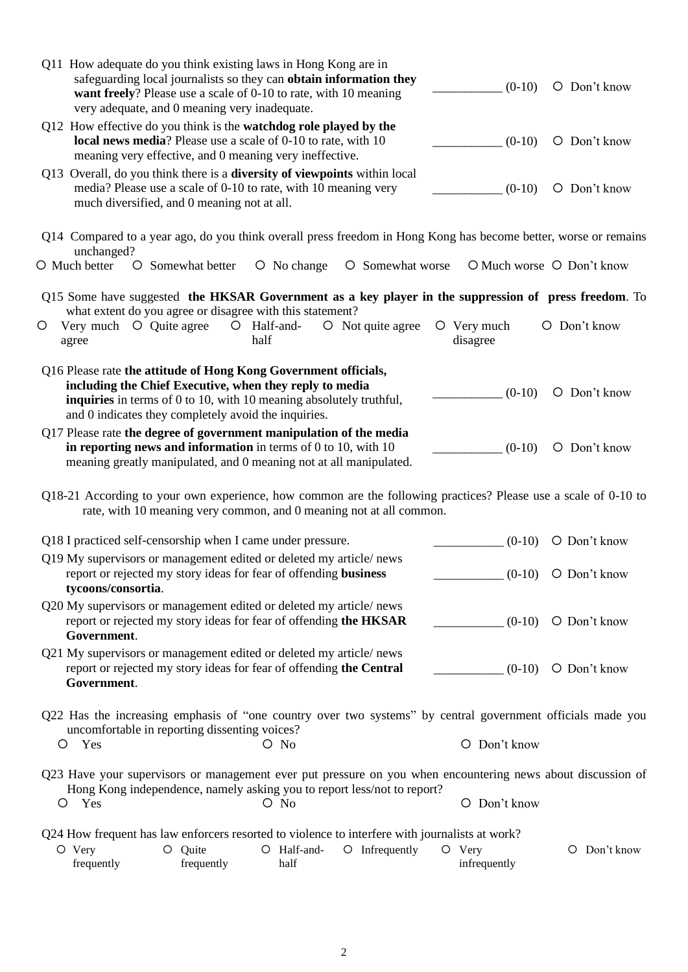| very adequate, and 0 meaning very inadequate.                                                                                                                                                                                                             | $(0-10)$                  | O Don't know              |
|-----------------------------------------------------------------------------------------------------------------------------------------------------------------------------------------------------------------------------------------------------------|---------------------------|---------------------------|
| Q12 How effective do you think is the watchdog role played by the<br>local news media? Please use a scale of 0-10 to rate, with 10<br>meaning very effective, and 0 meaning very ineffective.                                                             | $(0-10)$                  | O Don't know              |
| Q13 Overall, do you think there is a <b>diversity of viewpoints</b> within local<br>media? Please use a scale of 0-10 to rate, with 10 meaning very<br>much diversified, and 0 meaning not at all.                                                        | $(0-10)$                  | O Don't know              |
| Q14 Compared to a year ago, do you think overall press freedom in Hong Kong has become better, worse or remains                                                                                                                                           |                           |                           |
| unchanged?<br>O Much better O Somewhat better<br>O No change<br>O Somewhat worse                                                                                                                                                                          |                           | O Much worse O Don't know |
| Q15 Some have suggested the HKSAR Government as a key player in the suppression of press freedom. To<br>what extent do you agree or disagree with this statement?                                                                                         |                           |                           |
| Very much O Quite agree<br>O Not quite agree<br>$O$ Half-and-<br>O<br>half<br>agree                                                                                                                                                                       | $O$ Very much<br>disagree | O Don't know              |
| Q16 Please rate the attitude of Hong Kong Government officials,<br>including the Chief Executive, when they reply to media<br>inquiries in terms of 0 to 10, with 10 meaning absolutely truthful,<br>and 0 indicates they completely avoid the inquiries. | $(0-10)$                  | O Don't know              |
| Q17 Please rate the degree of government manipulation of the media<br>in reporting news and information in terms of $0$ to $10$ , with $10$<br>meaning greatly manipulated, and 0 meaning not at all manipulated.                                         | $(0-10)$                  | O Don't know              |
| Q18-21 According to your own experience, how common are the following practices? Please use a scale of 0-10 to<br>rate, with 10 meaning very common, and 0 meaning not at all common.                                                                     |                           |                           |
|                                                                                                                                                                                                                                                           |                           |                           |
| Q18 I practiced self-censorship when I came under pressure.                                                                                                                                                                                               | $(0-10)$                  | O Don't know              |
| Q19 My supervisors or management edited or deleted my article/news<br>report or rejected my story ideas for fear of offending business<br>tycoons/consortia.                                                                                              |                           | $(0-10)$ O Don't know     |
| Q20 My supervisors or management edited or deleted my article/news<br>report or rejected my story ideas for fear of offending the HKSAR<br>Government.                                                                                                    | $(0-10)$                  | O Don't know              |
| Q21 My supervisors or management edited or deleted my article/news<br>report or rejected my story ideas for fear of offending the Central<br>Government.                                                                                                  |                           | $(0-10)$ O Don't know     |
| Q22 Has the increasing emphasis of "one country over two systems" by central government officials made you<br>uncomfortable in reporting dissenting voices?<br>Yes<br>$O$ No<br>O                                                                         | O Don't know              |                           |
| Q23 Have your supervisors or management ever put pressure on you when encountering news about discussion of<br>Hong Kong independence, namely asking you to report less/not to report?                                                                    |                           |                           |
| Yes<br>$O$ No<br>O                                                                                                                                                                                                                                        | O Don't know              |                           |